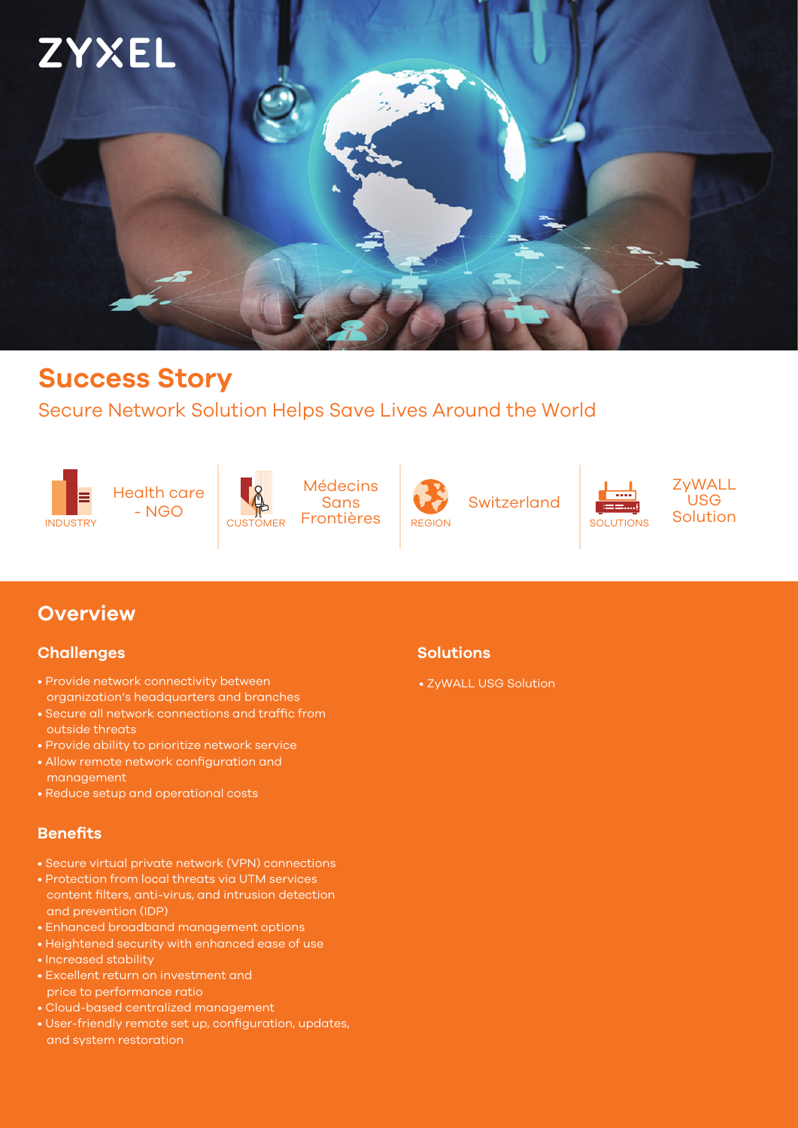

# **Success Story**

### Secure Network Solution Helps Save Lives Around the World







**Médecins Sans** CUSTOMER Frontières REGION SOLUTIONS



Switzerland

ZyWALL USG Solution

## **Overview**

### **Challenges**

- Provide network connectivity between organization's headquarters and branches
- Secure all network connections and traffic from outside threats
- Provide ability to prioritize network service
- Allow remote network configuration and management
- Reduce setup and operational costs

### **Benefits**

- Secure virtual private network (VPN) connections
- Protection from local threats via UTM services and prevention (IDP)
- Enhanced broadband management options
- Heightened security with enhanced ease of use
- Increased stability
- price to performance ratio
- Cloud-based centralized management
- User-friendly remote set up, configuration, updates, and system restoration

### **Solutions**

#### • ZyWALL USG Solution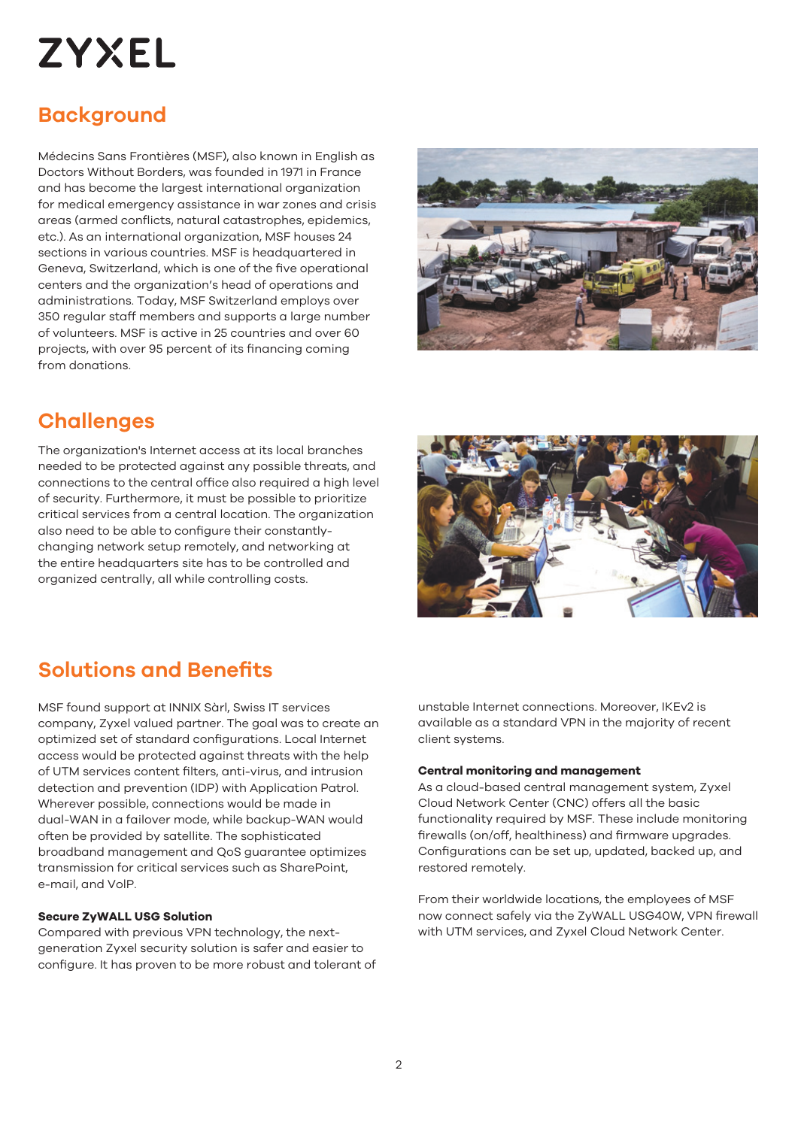# **ZYXEL**

# **Background**

Médecins Sans Frontières (MSF), also known in English as Doctors Without Borders, was founded in 1971 in France and has become the largest international organization for medical emergency assistance in war zones and crisis areas (armed conflicts, natural catastrophes, epidemics, etc.). As an international organization, MSF houses 24 sections in various countries. MSF is headquartered in Geneva, Switzerland, which is one of the five operational centers and the organization's head of operations and administrations. Today, MSF Switzerland employs over 350 regular staff members and supports a large number of volunteers. MSF is active in 25 countries and over 60 projects, with over 95 percent of its financing coming from donations.



# **Challenges**

The organization's Internet access at its local branches needed to be protected against any possible threats, and connections to the central office also required a high level of security. Furthermore, it must be possible to prioritize critical services from a central location. The organization also need to be able to configure their constantlychanging network setup remotely, and networking at the entire headquarters site has to be controlled and organized centrally, all while controlling costs.



# **Solutions and Benefits**

MSF found support at INNIX Sàrl, Swiss IT services company, Zyxel valued partner. The goal was to create an optimized set of standard configurations. Local Internet access would be protected against threats with the help of UTM services content filters, anti-virus, and intrusion detection and prevention (IDP) with Application Patrol. Wherever possible, connections would be made in dual-WAN in a failover mode, while backup-WAN would often be provided by satellite. The sophisticated broadband management and QoS guarantee optimizes transmission for critical services such as SharePoint, e-mail, and VolP.

#### **Secure ZyWALL USG Solution**

Compared with previous VPN technology, the nextgeneration Zyxel security solution is safer and easier to configure. It has proven to be more robust and tolerant of

unstable Internet connections. Moreover, IKEv2 is available as a standard VPN in the majority of recent client systems.

#### **Central monitoring and management**

As a cloud-based central management system, Zyxel Cloud Network Center (CNC) offers all the basic functionality required by MSF. These include monitoring firewalls (on/off, healthiness) and firmware upgrades. Configurations can be set up, updated, backed up, and restored remotely.

From their worldwide locations, the employees of MSF now connect safely via the ZyWALL USG40W, VPN firewall with UTM services, and Zyxel Cloud Network Center.